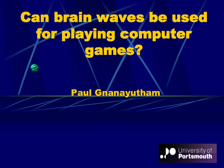# Can brain waves be used for playing compute games?

#### Paul Gnanayutham

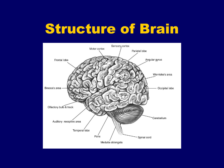## Structure of Brain

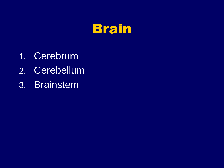

- 1. Cerebrum
- 2. Cerebellum
- 3. Brainstem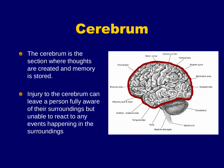## Cerebrum

- **The cerebrum is the** section where thoughts are created and memory is stored.
- Injury to the cerebrum can  $\bullet$ leave a person fully aware of their surroundings but unable to react to any events happening in the surroundings

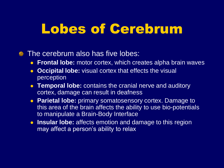## Lobes of Cerebrum

#### **The cerebrum also has five lobes:**

- **Frontal lobe:** motor cortex, which creates alpha brain waves
- **Occipital lobe:** visual cortex that effects the visual perception
- **Temporal lobe:** contains the cranial nerve and auditory cortex, damage can result in deafness
- **Parietal lobe:** primary somatosensory cortex. Damage to this area of the brain affects the ability to use bio-potentials to manipulate a Brain-Body Interface
- **Insular lobe:** affects emotion and damage to this region may affect a person's ability to relax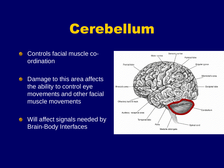## Cerebellum

- Controls facial muscle coordination
- **•** Damage to this area affects the ability to control eye movements and other facial muscle movements
- **Will affect signals needed by** Brain-Body Interfaces

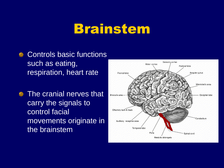## Brainstem

- **Controls basic functions** such as eating, respiration, heart rate
- **The cranial nerves that** carry the signals to control facial movements originate in the brainstem

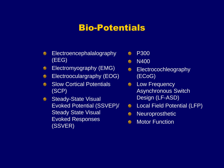#### Bio-Potentials

- Electroencephalalography ⊜ (EEG)
- Electromyography (EMG)  $\bullet$
- Electrooculargraphy (EOG) ⊜
- Slow Cortical Potentials ۵ (SCP)
- Steady-State Visual Evoked Potential (SSVEP)/ Steady State Visual Evoked Responses (SSVER)
- P300 €
- N400  $\bullet$
- Electrocochleography  $\bullet$ (ECoG)
- **EXECUTE:** Low Frequency Asynchronous Switch Design (LF-ASD)
- **Company** Local Field Potential (LFP)
- Neuroprosthetic  $\bullet$
- Motor Function $\bullet$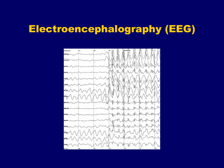### Electroencephalography (EEG)

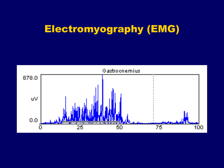### Electromyography (EMG)

![](_page_9_Figure_1.jpeg)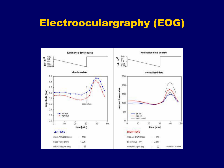### Electrooculargraphy (EOG)

![](_page_10_Figure_1.jpeg)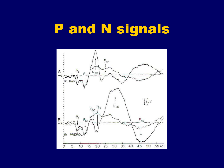# **P and N signals**

![](_page_11_Figure_1.jpeg)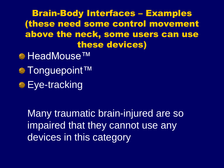Brain-Body Interfaces – Examples (these need some control movement above the neck, some users can use these devices)

- HeadMouse™
- Tonguepoint™
- **Eye-tracking**

 Many traumatic brain-injured are so impaired that they cannot use any devices in this category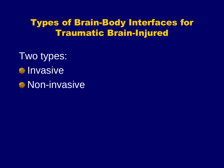#### Types of Brain-Body Interfaces for Traumatic Brain-Injured

Two types: *<u>Invasive</u>* **Non-invasive**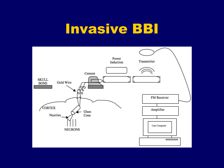## Invasive BBI

![](_page_14_Figure_1.jpeg)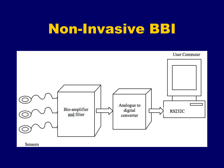## Non-Invasive BBI

![](_page_15_Figure_1.jpeg)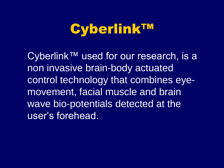## Cyberlink™

 Cyberlink™ used for our research, is a non invasive brain-body actuated control technology that combines eyemovement, facial muscle and brain wave bio-potentials detected at the user's forehead.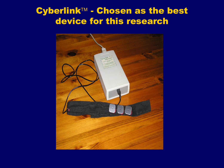#### Cyberlink™ - Chosen as the best device for this research

![](_page_17_Picture_1.jpeg)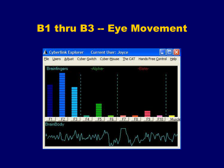### B1 thru B3 -- Eye Movement

![](_page_18_Figure_1.jpeg)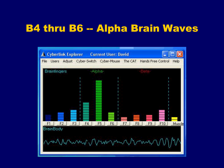### B4 thru B6 -- Alpha Brain Waves

![](_page_19_Figure_1.jpeg)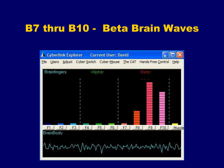### B7 thru B10 - Beta Brain Waves

![](_page_20_Figure_1.jpeg)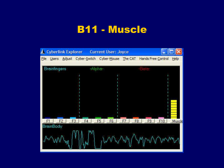#### B11 - Muscle

![](_page_21_Figure_1.jpeg)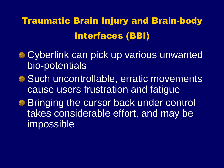Traumatic Brain Injury and Brain-body Interfaces (BBI)

- Cyberlink can pick up various unwanted bio-potentials
- Such uncontrollable, erratic movements cause users frustration and fatigue
- **Bringing the cursor back under control** takes considerable effort, and may be impossible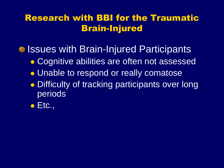#### Research with BBI for the Traumatic Brain-Injured

• Issues with Brain-Injured Participants

- Cognitive abilities are often not assessed
- **.** Unable to respond or really comatose
- **Difficulty of tracking participants over long** periods
- $\bullet$  Etc.,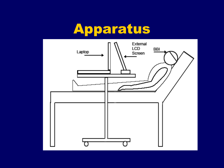# Apparatus

![](_page_24_Figure_1.jpeg)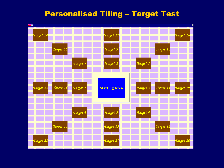#### Personalised Tiling – Target Test

![](_page_25_Figure_1.jpeg)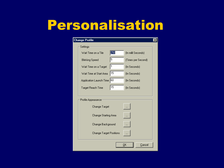## Personalisation

| <b>Change Profile</b> |                                |  |                      |  |
|-----------------------|--------------------------------|--|----------------------|--|
| Settings              |                                |  |                      |  |
|                       | Wait Time on a Tile            |  | (In milli Seconds)   |  |
|                       | <b>Blinking Speed</b>          |  | (Times per Second)   |  |
|                       | Wait Time on a Target          |  | (In Seconds)         |  |
|                       | 15<br>Wait Time at Start Area  |  | (In Seconds)         |  |
|                       | Application Launch Time 60     |  | (In Seconds)         |  |
|                       | Target Reach Time              |  | (In Seconds)         |  |
|                       |                                |  |                      |  |
| Profile Appearance:   |                                |  |                      |  |
|                       | Change Target                  |  |                      |  |
|                       | <b>Change Starting Area</b>    |  |                      |  |
|                       | Change Background              |  |                      |  |
|                       | <b>Change Target Positions</b> |  |                      |  |
|                       |                                |  | Cancel<br><u>о</u> к |  |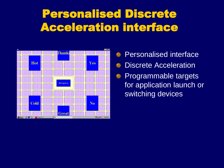## Personalised Discrete Acceleration interface

![](_page_27_Figure_1.jpeg)

Personalised interface  $\bullet$ Discrete Acceleration  $\bullet$ Programmable targets  $^{\circ}$ for application launch or switching devices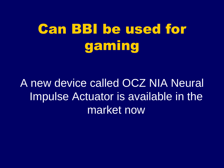# Can BBI be used for gaming

A new device called OCZ NIA Neural Impulse Actuator is available in the market now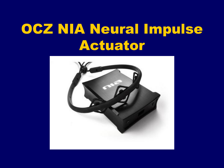# OCZ NIA Neural Impulse Actuator

![](_page_29_Picture_1.jpeg)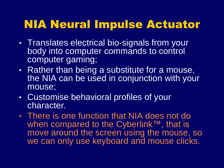## NIA Neural Impulse Actuator

- Translates electrical bio-signals from your body into computer commands to control computer gaming;
- Rather than being a substitute for a mouse, the NIA can be used in conjunction with your mouse;
- Customise behavioral profiles of your character.
- There is one function that NIA does not do when compared to the Cyberlink™, that is move around the screen using the mouse, so we can only use keyboard and mouse clicks.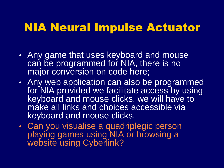### NIA Neural Impulse Actuator

- Any game that uses keyboard and mouse can be programmed for NIA, there is no major conversion on code here;
- Any web application can also be programmed for NIA provided we facilitate access by using keyboard and mouse clicks, we will have to make all links and choices accessible via keyboard and mouse clicks.
- Can you visualise a quadriplegic person playing games using NIA or browsing a website using Cyberlink?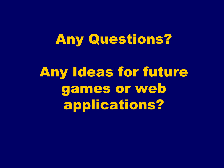## Any Questions?

Any Ideas for future games or web applications?